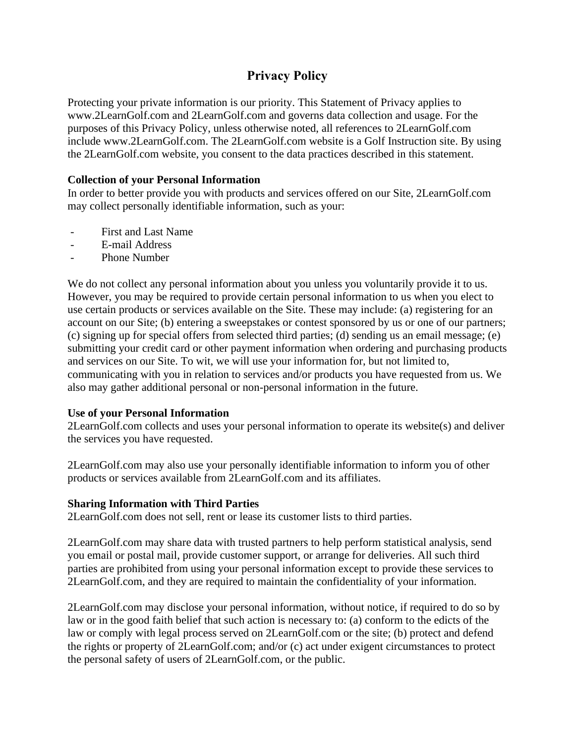# **Privacy Policy**

Protecting your private information is our priority. This Statement of Privacy applies to www.2LearnGolf.com and 2LearnGolf.com and governs data collection and usage. For the purposes of this Privacy Policy, unless otherwise noted, all references to 2LearnGolf.com include www.2LearnGolf.com. The 2LearnGolf.com website is a Golf Instruction site. By using the 2LearnGolf.com website, you consent to the data practices described in this statement.

## **Collection of your Personal Information**

In order to better provide you with products and services offered on our Site, 2LearnGolf.com may collect personally identifiable information, such as your:

- First and Last Name
- E-mail Address
- Phone Number

We do not collect any personal information about you unless you voluntarily provide it to us. However, you may be required to provide certain personal information to us when you elect to use certain products or services available on the Site. These may include: (a) registering for an account on our Site; (b) entering a sweepstakes or contest sponsored by us or one of our partners; (c) signing up for special offers from selected third parties; (d) sending us an email message; (e) submitting your credit card or other payment information when ordering and purchasing products and services on our Site. To wit, we will use your information for, but not limited to, communicating with you in relation to services and/or products you have requested from us. We also may gather additional personal or non-personal information in the future.

## **Use of your Personal Information**

2LearnGolf.com collects and uses your personal information to operate its website(s) and deliver the services you have requested.

2LearnGolf.com may also use your personally identifiable information to inform you of other products or services available from 2LearnGolf.com and its affiliates.

#### **Sharing Information with Third Parties**

2LearnGolf.com does not sell, rent or lease its customer lists to third parties.

2LearnGolf.com may share data with trusted partners to help perform statistical analysis, send you email or postal mail, provide customer support, or arrange for deliveries. All such third parties are prohibited from using your personal information except to provide these services to 2LearnGolf.com, and they are required to maintain the confidentiality of your information.

2LearnGolf.com may disclose your personal information, without notice, if required to do so by law or in the good faith belief that such action is necessary to: (a) conform to the edicts of the law or comply with legal process served on 2LearnGolf.com or the site; (b) protect and defend the rights or property of 2LearnGolf.com; and/or (c) act under exigent circumstances to protect the personal safety of users of 2LearnGolf.com, or the public.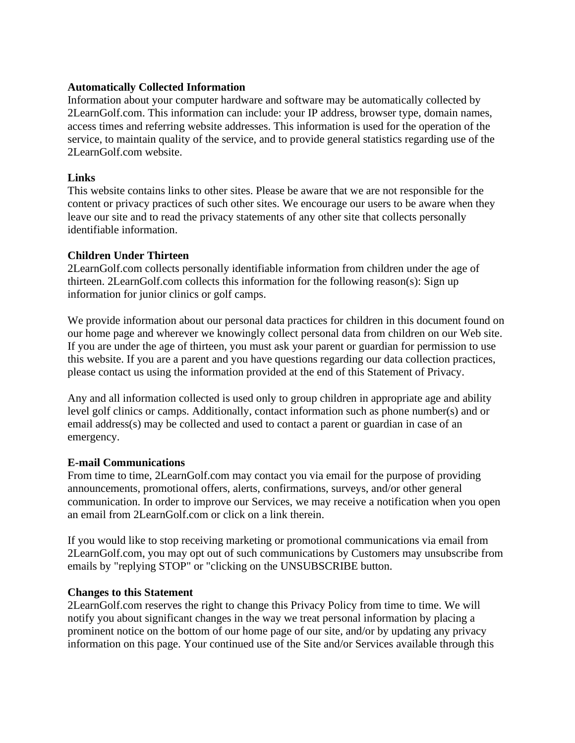## **Automatically Collected Information**

Information about your computer hardware and software may be automatically collected by 2LearnGolf.com. This information can include: your IP address, browser type, domain names, access times and referring website addresses. This information is used for the operation of the service, to maintain quality of the service, and to provide general statistics regarding use of the 2LearnGolf.com website.

## **Links**

This website contains links to other sites. Please be aware that we are not responsible for the content or privacy practices of such other sites. We encourage our users to be aware when they leave our site and to read the privacy statements of any other site that collects personally identifiable information.

## **Children Under Thirteen**

2LearnGolf.com collects personally identifiable information from children under the age of thirteen. 2LearnGolf.com collects this information for the following reason(s): Sign up information for junior clinics or golf camps.

We provide information about our personal data practices for children in this document found on our home page and wherever we knowingly collect personal data from children on our Web site. If you are under the age of thirteen, you must ask your parent or guardian for permission to use this website. If you are a parent and you have questions regarding our data collection practices, please contact us using the information provided at the end of this Statement of Privacy.

Any and all information collected is used only to group children in appropriate age and ability level golf clinics or camps. Additionally, contact information such as phone number(s) and or email address(s) may be collected and used to contact a parent or guardian in case of an emergency.

#### **E-mail Communications**

From time to time, 2LearnGolf.com may contact you via email for the purpose of providing announcements, promotional offers, alerts, confirmations, surveys, and/or other general communication. In order to improve our Services, we may receive a notification when you open an email from 2LearnGolf.com or click on a link therein.

If you would like to stop receiving marketing or promotional communications via email from 2LearnGolf.com, you may opt out of such communications by Customers may unsubscribe from emails by "replying STOP" or "clicking on the UNSUBSCRIBE button.

#### **Changes to this Statement**

2LearnGolf.com reserves the right to change this Privacy Policy from time to time. We will notify you about significant changes in the way we treat personal information by placing a prominent notice on the bottom of our home page of our site, and/or by updating any privacy information on this page. Your continued use of the Site and/or Services available through this